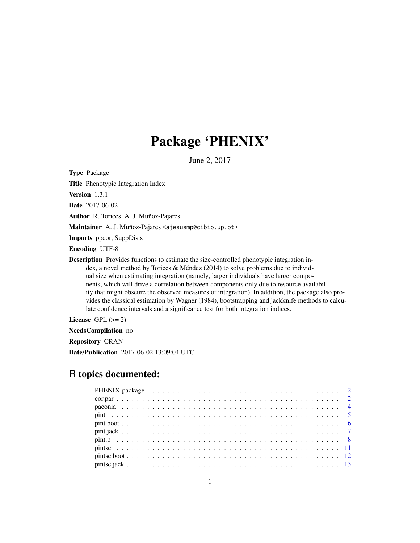# Package 'PHENIX'

June 2, 2017

<span id="page-0-0"></span>Type Package

Title Phenotypic Integration Index

Version 1.3.1

Date 2017-06-02

Author R. Torices, A. J. Muñoz-Pajares

Maintainer A. J. Muñoz-Pajares <ajesusmp@cibio.up.pt>

Imports ppcor, SuppDists

Encoding UTF-8

Description Provides functions to estimate the size-controlled phenotypic integration index, a novel method by Torices & Méndez (2014) to solve problems due to individual size when estimating integration (namely, larger individuals have larger components, which will drive a correlation between components only due to resource availability that might obscure the observed measures of integration). In addition, the package also provides the classical estimation by Wagner (1984), bootstrapping and jackknife methods to calculate confidence intervals and a significance test for both integration indices.

License GPL  $(>= 2)$ 

NeedsCompilation no

Repository CRAN

Date/Publication 2017-06-02 13:09:04 UTC

# R topics documented: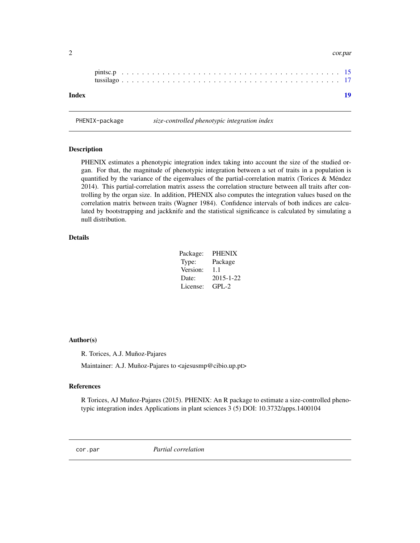| Index |  |  |  |  |  |  |  |  |  |  |  |  |  |  |  |  |  |  |  |
|-------|--|--|--|--|--|--|--|--|--|--|--|--|--|--|--|--|--|--|--|

<span id="page-1-0"></span>2 cor.par

PHENIX-package *size-controlled phenotypic integration index*

Description

PHENIX estimates a phenotypic integration index taking into account the size of the studied organ. For that, the magnitude of phenotypic integration between a set of traits in a population is quantified by the variance of the eigenvalues of the partial-correlation matrix (Torices & Méndez 2014). This partial-correlation matrix assess the correlation structure between all traits after controlling by the organ size. In addition, PHENIX also computes the integration values based on the correlation matrix between traits (Wagner 1984). Confidence intervals of both indices are calculated by bootstrapping and jackknife and the statistical significance is calculated by simulating a null distribution.

# Details

| Package: | <b>PHENIX</b> |
|----------|---------------|
| Type:    | Package       |
| Version: | 1.1           |
| Date:    | 2015-1-22     |
| License: | $GPL-2$       |

#### Author(s)

R. Torices, A.J. Muñoz-Pajares

Maintainer: A.J. Muñoz-Pajares to <ajesusmp@cibio.up.pt>

#### References

R Torices, AJ Muñoz-Pajares (2015). PHENIX: An R package to estimate a size-controlled phenotypic integration index Applications in plant sciences 3 (5) DOI: 10.3732/apps.1400104

cor.par *Partial correlation*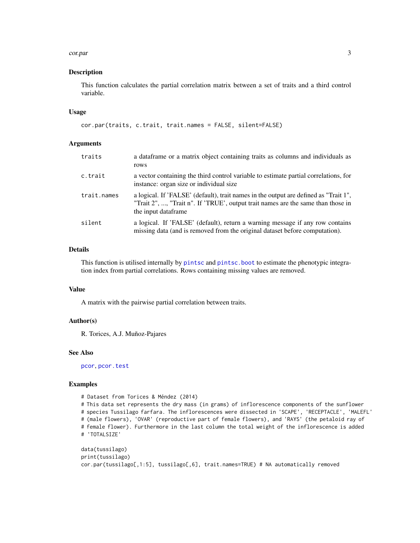#### <span id="page-2-0"></span>cor.par 3

#### Description

This function calculates the partial correlation matrix between a set of traits and a third control variable.

#### Usage

cor.par(traits, c.trait, trait.names = FALSE, silent=FALSE)

#### Arguments

| traits      | a dataframe or a matrix object containing traits as columns and individuals as<br>rows                                                                                                           |
|-------------|--------------------------------------------------------------------------------------------------------------------------------------------------------------------------------------------------|
| c.trait     | a vector containing the third control variable to estimate partial correlations, for<br>instance: organ size or individual size                                                                  |
| trait.names | a logical. If 'FALSE' (default), trait names in the output are defined as "Trait 1",<br>"Trait 2", , "Trait n". If 'TRUE', output trait names are the same than those in<br>the input dataframe. |
| silent      | a logical. If 'FALSE' (default), return a warning message if any row contains<br>missing data (and is removed from the original dataset before computation).                                     |

# Details

This function is utilised internally by [pintsc](#page-10-1) and [pintsc.boot](#page-11-1) to estimate the phenotypic integration index from partial correlations. Rows containing missing values are removed.

#### Value

A matrix with the pairwise partial correlation between traits.

#### Author(s)

R. Torices, A.J. Muñoz-Pajares

#### See Also

[pcor](#page-0-0), [pcor.test](#page-0-0)

#### Examples

```
# Dataset from Torices & Méndez (2014)
# This data set represents the dry mass (in grams) of inflorescence components of the sunflower
# species Tussilago farfara. The inflorescences were dissected in 'SCAPE', 'RECEPTACLE', 'MALEFL'
# (male flowers), 'OVAR' (reproductive part of female flowers), and 'RAYS' (the petaloid ray of
# female flower). Furthermore in the last column the total weight of the inflorescence is added
# 'TOTALSIZE'
```

```
data(tussilago)
print(tussilago)
cor.par(tussilago[,1:5], tussilago[,6], trait.names=TRUE) # NA automatically removed
```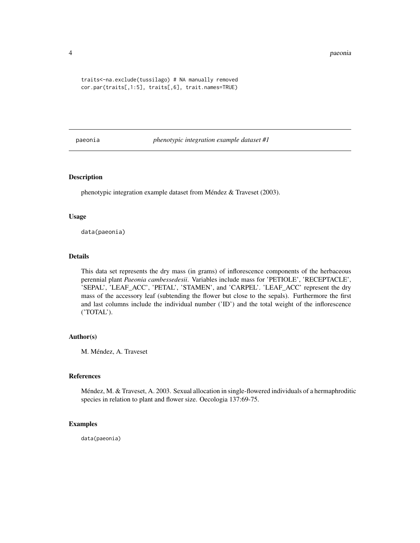#### 4 paeonia

```
traits<-na.exclude(tussilago) # NA manually removed
cor.par(traits[,1:5], traits[,6], trait.names=TRUE)
```
paeonia *phenotypic integration example dataset #1*

# Description

phenotypic integration example dataset from Méndez & Traveset (2003).

#### Usage

data(paeonia)

#### Details

This data set represents the dry mass (in grams) of inflorescence components of the herbaceous perennial plant *Paeonia cambessedesii*. Variables include mass for 'PETIOLE', 'RECEPTACLE', 'SEPAL', 'LEAF\_ACC', 'PETAL', 'STAMEN', and 'CARPEL'. 'LEAF\_ACC' represent the dry mass of the accessory leaf (subtending the flower but close to the sepals). Furthermore the first and last columns include the individual number ('ID') and the total weight of the inflorescence ('TOTAL').

#### Author(s)

M. Méndez, A. Traveset

#### References

Méndez, M. & Traveset, A. 2003. Sexual allocation in single-flowered individuals of a hermaphroditic species in relation to plant and flower size. Oecologia 137:69-75.

#### Examples

data(paeonia)

<span id="page-3-0"></span>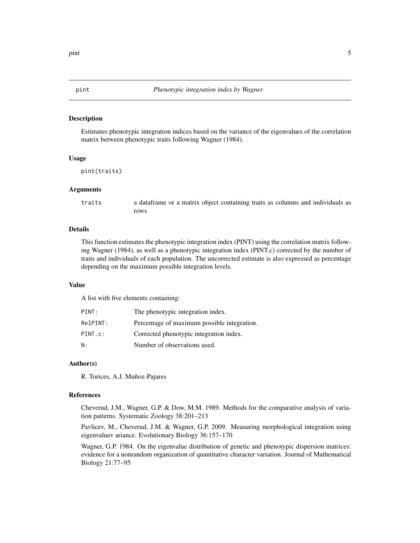#### <span id="page-4-1"></span><span id="page-4-0"></span>Description

Estimates phenotypic integration indices based on the variance of the eigenvalues of the correlation matrix between phenotypic traits following Wagner (1984).

#### Usage

```
pint(traits)
```
#### Arguments

traits a dataframe or a matrix object containing traits as columns and individuals as rows

#### Details

This function estimates the phenotypic integration index (PINT) using the correlation matrix following Wagner (1984), as well as a phenotypic integration index (PINT.c) corrected by the number of traits and individuals of each population. The uncorrected estimate is also expressed as percentage depending on the maximum possible integration levels.

#### Value

A list with five elements containing:

| PINT:    | The phenotypic integration index.           |
|----------|---------------------------------------------|
| RelPINT: | Percentage of maximum possible integration. |
| PINT.c:  | Corrected phenotypic integration index.     |
| Ν:       | Number of observations used.                |

#### Author(s)

R. Torices, A.J. Muñoz-Pajares

#### References

Cheverud, J.M., Wagner, G.P. & Dow, M.M. 1989. Methods for the comparative analysis of variation patterns. Systematic Zoology 38:201–213

Pavlicev, M., Cheverud, J.M. & Wagner, G.P. 2009. Measuring morphological integration using eigenvaluev ariance. Evolutionary Biology 36:157–170

Wagner, G.P. 1984. On the eigenvalue distribution of genetic and phenotypic dispersion matrices: evidence for a nonrandom organization of quantitative character variation. Journal of Mathematical Biology 21:77–95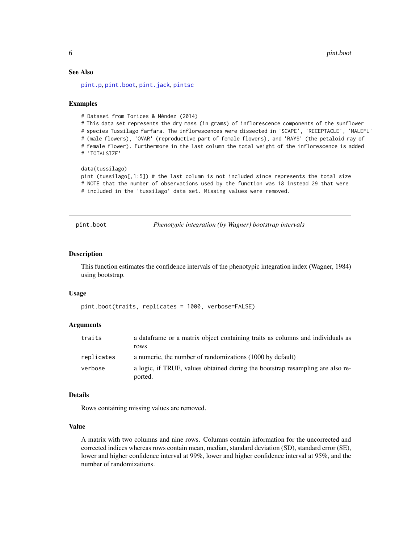# See Also

[pint.p](#page-7-1), [pint.boot](#page-5-1), [pint.jack](#page-6-1), [pintsc](#page-10-1)

#### Examples

# Dataset from Torices & Méndez (2014)

# This data set represents the dry mass (in grams) of inflorescence components of the sunflower # species Tussilago farfara. The inflorescences were dissected in 'SCAPE', 'RECEPTACLE', 'MALEFL' # (male flowers), 'OVAR' (reproductive part of female flowers), and 'RAYS' (the petaloid ray of # female flower). Furthermore in the last column the total weight of the inflorescence is added # 'TOTALSIZE'

#### data(tussilago)

pint (tussilago[,1:5]) # the last column is not included since represents the total size # NOTE that the number of observations used by the function was 18 instead 29 that were # included in the 'tussilago' data set. Missing values were removed.

<span id="page-5-1"></span>pint.boot *Phenotypic integration (by Wagner) bootstrap intervals*

#### **Description**

This function estimates the confidence intervals of the phenotypic integration index (Wagner, 1984) using bootstrap.

#### Usage

pint.boot(traits, replicates = 1000, verbose=FALSE)

#### **Arguments**

| traits     | a data frame or a matrix object containing traits as columns and individuals as<br>rows   |
|------------|-------------------------------------------------------------------------------------------|
| replicates | a numeric, the number of randomizations (1000 by default)                                 |
| verbose    | a logic, if TRUE, values obtained during the bootstrap resampling are also re-<br>ported. |

#### Details

Rows containing missing values are removed.

#### Value

A matrix with two columns and nine rows. Columns contain information for the uncorrected and corrected indices whereas rows contain mean, median, standard deviation (SD), standard error (SE), lower and higher confidence interval at 99%, lower and higher confidence interval at 95%, and the number of randomizations.

<span id="page-5-0"></span>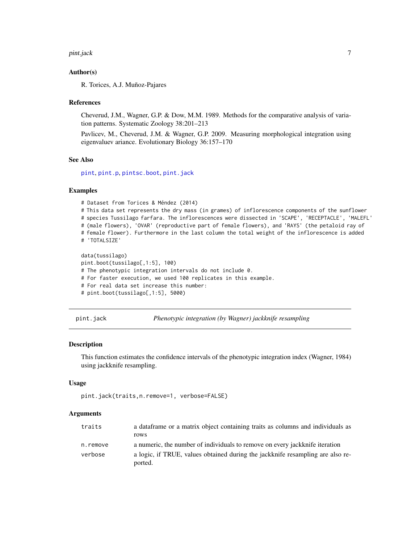#### <span id="page-6-0"></span>pint.jack 7

#### Author(s)

R. Torices, A.J. Muñoz-Pajares

#### References

Cheverud, J.M., Wagner, G.P. & Dow, M.M. 1989. Methods for the comparative analysis of variation patterns. Systematic Zoology 38:201–213

Pavlicev, M., Cheverud, J.M. & Wagner, G.P. 2009. Measuring morphological integration using eigenvaluev ariance. Evolutionary Biology 36:157–170

#### See Also

[pint](#page-4-1), [pint.p](#page-7-1), [pintsc.boot](#page-11-1), [pint.jack](#page-6-1)

#### Examples

# Dataset from Torices & Méndez (2014)

```
# This data set represents the dry mass (in grames) of inflorescence components of the sunflower
# species Tussilago farfara. The inflorescences were dissected in 'SCAPE', 'RECEPTACLE', 'MALEFL'
# (male flowers), 'OVAR' (reproductive part of female flowers), and 'RAYS' (the petaloid ray of
# female flower). Furthermore in the last column the total weight of the inflorescence is added
# 'TOTALSIZE'
```

```
data(tussilago)
pint.boot(tussilago[,1:5], 100)
# The phenotypic integration intervals do not include 0.
# For faster execution, we used 100 replicates in this example.
# For real data set increase this number:
# pint.boot(tussilago[,1:5], 5000)
```
<span id="page-6-1"></span>pint.jack *Phenotypic integration (by Wagner) jackknife resampling*

#### **Description**

This function estimates the confidence intervals of the phenotypic integration index (Wagner, 1984) using jackknife resampling.

#### Usage

```
pint.jack(traits,n.remove=1, verbose=FALSE)
```
#### Arguments

| traits   | a data frame or a matrix object containing traits as columns and individuals as           |
|----------|-------------------------------------------------------------------------------------------|
|          | rows                                                                                      |
| n.remove | a numeric, the number of individuals to remove on every jackknife iteration               |
| verbose  | a logic, if TRUE, values obtained during the jackknife resampling are also re-<br>ported. |
|          |                                                                                           |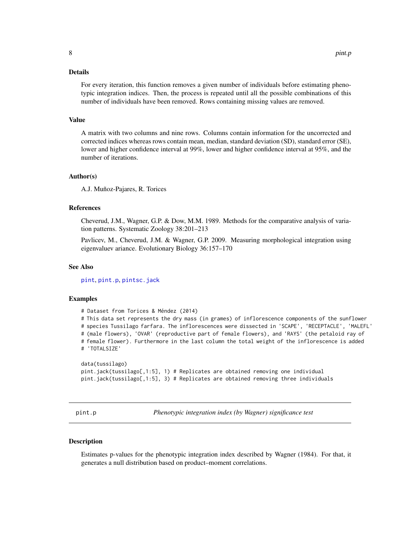# <span id="page-7-0"></span>Details

For every iteration, this function removes a given number of individuals before estimating phenotypic integration indices. Then, the process is repeated until all the possible combinations of this number of individuals have been removed. Rows containing missing values are removed.

#### Value

A matrix with two columns and nine rows. Columns contain information for the uncorrected and corrected indices whereas rows contain mean, median, standard deviation (SD), standard error (SE), lower and higher confidence interval at 99%, lower and higher confidence interval at 95%, and the number of iterations.

#### Author(s)

A.J. Muñoz-Pajares, R. Torices

#### References

Cheverud, J.M., Wagner, G.P. & Dow, M.M. 1989. Methods for the comparative analysis of variation patterns. Systematic Zoology 38:201–213

Pavlicev, M., Cheverud, J.M. & Wagner, G.P. 2009. Measuring morphological integration using eigenvaluev ariance. Evolutionary Biology 36:157–170

### See Also

[pint](#page-4-1), [pint.p](#page-7-1), [pintsc.jack](#page-12-1)

#### Examples

# Dataset from Torices & Méndez (2014) # This data set represents the dry mass (in grames) of inflorescence components of the sunflower # species Tussilago farfara. The inflorescences were dissected in 'SCAPE', 'RECEPTACLE', 'MALEFL' # (male flowers), 'OVAR' (reproductive part of female flowers), and 'RAYS' (the petaloid ray of # female flower). Furthermore in the last column the total weight of the inflorescence is added # 'TOTALSIZE'

```
data(tussilago)
pint.jack(tussilago[,1:5], 1) # Replicates are obtained removing one individual
pint.jack(tussilago[,1:5], 3) # Replicates are obtained removing three individuals
```
<span id="page-7-1"></span>pint.p *Phenotypic integration index (by Wagner) significance test*

#### Description

Estimates p-values for the phenotypic integration index described by Wagner (1984). For that, it generates a null distribution based on product–moment correlations.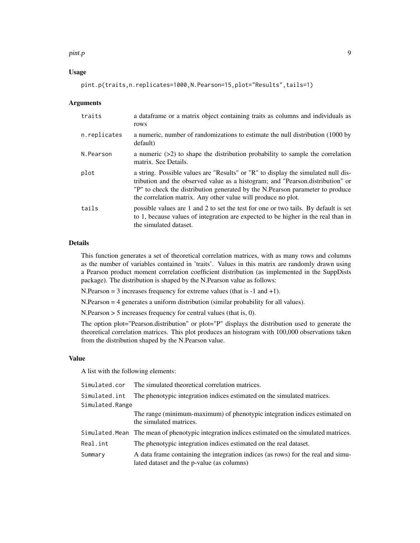#### pint.p 9

#### Usage

pint.p(traits,n.replicates=1000,N.Pearson=15,plot="Results",tails=1)

#### Arguments

| traits       | a dataframe or a matrix object containing traits as columns and individuals as<br>rows                                                                                                                                                                                                                                |
|--------------|-----------------------------------------------------------------------------------------------------------------------------------------------------------------------------------------------------------------------------------------------------------------------------------------------------------------------|
| n.replicates | a numeric, number of randomizations to estimate the null distribution (1000 by<br>default)                                                                                                                                                                                                                            |
| N.Pearson    | a numeric $(>2)$ to shape the distribution probability to sample the correlation<br>matrix. See Details.                                                                                                                                                                                                              |
| plot         | a string. Possible values are "Results" or "R" to display the simulated null dis-<br>tribution and the observed value as a histogram; and "Pearson.distribution" or<br>"P" to check the distribution generated by the N.Pearson parameter to produce<br>the correlation matrix. Any other value will produce no plot. |
| tails        | possible values are 1 and 2 to set the test for one or two tails. By default is set<br>to 1, because values of integration are expected to be higher in the real than in<br>the simulated dataset.                                                                                                                    |

# Details

This function generates a set of theoretical correlation matrices, with as many rows and columns as the number of variables contained in 'traits'. Values in this matrix are randomly drawn using a Pearson product moment correlation coefficient distribution (as implemented in the SuppDists package). The distribution is shaped by the N.Pearson value as follows:

N.Pearson = 3 increases frequency for extreme values (that is -1 and +1).

N.Pearson = 4 generates a uniform distribution (similar probability for all values).

N.Pearson > 5 increases frequency for central values (that is, 0).

The option plot="Pearson.distribution" or plot="P" displays the distribution used to generate the theoretical correlation matrices. This plot produces an histogram with 100,000 observations taken from the distribution shaped by the N.Pearson value.

# Value

A list with the following elements:

| Simulated.cor   | The simulated theoretical correlation matrices.                                                                                |
|-----------------|--------------------------------------------------------------------------------------------------------------------------------|
| Simulated.int   | The phenotypic integration indices estimated on the simulated matrices.                                                        |
| Simulated.Range |                                                                                                                                |
|                 | The range (minimum-maximum) of phenotypic integration indices estimated on<br>the simulated matrices.                          |
|                 | Simulated. Mean The mean of phenotypic integration indices estimated on the simulated matrices.                                |
| Real.int        | The phenotypic integration indices estimated on the real dataset.                                                              |
| Summary         | A data frame containing the integration indices (as rows) for the real and simu-<br>lated dataset and the p-value (as columns) |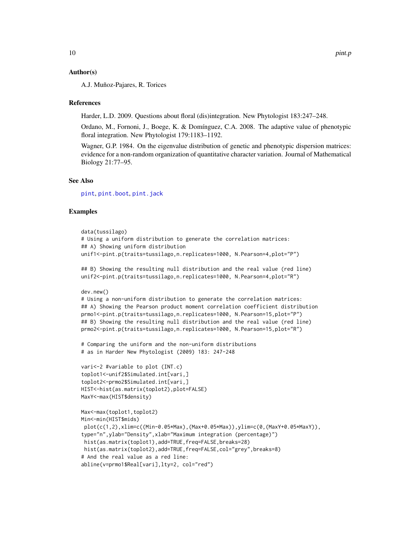#### <span id="page-9-0"></span>Author(s)

A.J. Muñoz-Pajares, R. Torices

#### References

Harder, L.D. 2009. Questions about floral (dis)integration. New Phytologist 183:247–248.

Ordano, M., Fornoni, J., Boege, K. & Domínguez, C.A. 2008. The adaptive value of phenotypic floral integration. New Phytologist 179:1183–1192.

Wagner, G.P. 1984. On the eigenvalue distribution of genetic and phenotypic dispersion matrices: evidence for a non-random organization of quantitative character variation. Journal of Mathematical Biology 21:77–95.

#### See Also

[pint](#page-4-1), [pint.boot](#page-5-1), [pint.jack](#page-6-1)

#### Examples

```
data(tussilago)
# Using a uniform distribution to generate the correlation matrices:
## A) Showing uniform distribution
unif1<-pint.p(traits=tussilago,n.replicates=1000, N.Pearson=4,plot="P")
## B) Showing the resulting null distribution and the real value (red line)
unif2<-pint.p(traits=tussilago,n.replicates=1000, N.Pearson=4,plot="R")
dev.new()
# Using a non-uniform distribution to generate the correlation matrices:
## A) Showing the Pearson product moment correlation coefficient distribution
prmo1<-pint.p(traits=tussilago,n.replicates=1000, N.Pearson=15,plot="P")
## B) Showing the resulting null distribution and the real value (red line)
prmo2<-pint.p(traits=tussilago,n.replicates=1000, N.Pearson=15,plot="R")
# Comparing the uniform and the non-uniform distributions
# as in Harder New Phytologist (2009) 183: 247-248
vari<-2 #variable to plot (INT.c)
toplot1<-unif2$Simulated.int[vari,]
toplot2<-prmo2$Simulated.int[vari,]
HIST<-hist(as.matrix(toplot2),plot=FALSE)
MaxY<-max(HIST$density)
Max<-max(toplot1,toplot2)
Min<-min(HIST$mids)
 plot(c(1,2),xlim=c((Min-0.05*Max),(Max+0.05*Max)),ylim=c(0,(MaxY+0.05*MaxY)),
type="n",ylab="Density",xlab="Maximum integration (percentage)")
 hist(as.matrix(toplot1),add=TRUE,freq=FALSE,breaks=28)
```

```
# And the real value as a red line:
```

```
abline(v=prmo1$Real[vari],lty=2, col="red")
```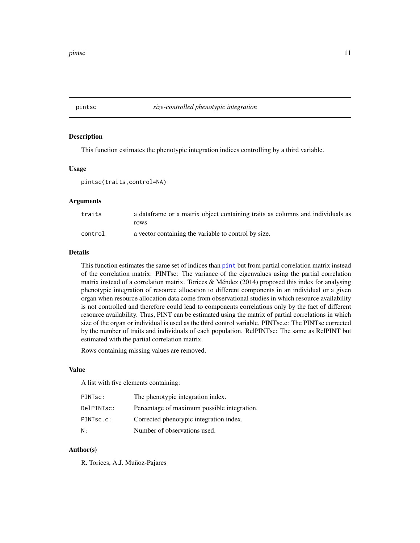#### <span id="page-10-1"></span><span id="page-10-0"></span>pintsc *size-controlled phenotypic integration*

# Description

This function estimates the phenotypic integration indices controlling by a third variable.

#### Usage

pintsc(traits,control=NA)

#### Arguments

| traits  | a data frame or a matrix object containing traits as columns and individuals as |
|---------|---------------------------------------------------------------------------------|
|         | rows                                                                            |
| control | a vector containing the variable to control by size.                            |

#### Details

This function estimates the same set of indices than [pint](#page-4-1) but from partial correlation matrix instead of the correlation matrix: PINTsc: The variance of the eigenvalues using the partial correlation matrix instead of a correlation matrix. Torices & Méndez (2014) proposed this index for analysing phenotypic integration of resource allocation to different components in an individual or a given organ when resource allocation data come from observational studies in which resource availability is not controlled and therefore could lead to components correlations only by the fact of different resource availability. Thus, PINT can be estimated using the matrix of partial correlations in which size of the organ or individual is used as the third control variable. PINTsc.c: The PINTsc corrected by the number of traits and individuals of each population. RelPINTsc: The same as RelPINT but estimated with the partial correlation matrix.

Rows containing missing values are removed.

#### Value

A list with five elements containing:

| PINT <sub>sc</sub> : | The phenotypic integration index.           |
|----------------------|---------------------------------------------|
| RelPINTsc:           | Percentage of maximum possible integration. |
| PINTsc.c:            | Corrected phenotypic integration index.     |
| N:                   | Number of observations used.                |

#### Author(s)

R. Torices, A.J. Muñoz-Pajares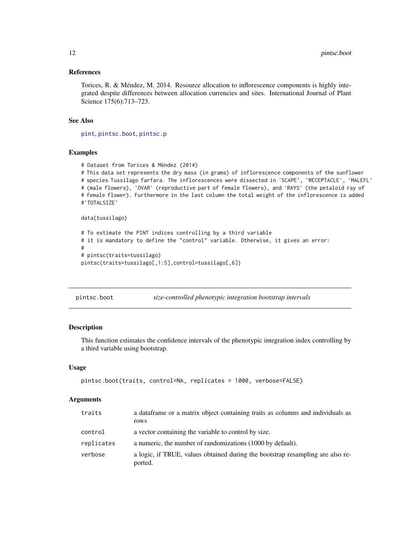#### <span id="page-11-0"></span>References

Torices, R. & Méndez, M. 2014. Resource allocation to inflorescence components is highly integrated despite differences between allocation currencies and sites. International Journal of Plant Science 175(6):713–723.

# See Also

[pint](#page-4-1), [pintsc.boot](#page-11-1), [pintsc.p](#page-14-1)

#### Examples

```
# Dataset from Torices & Méndez (2014)
# This data set represents the dry mass (in grams) of inflorescence components of the sunflower
# species Tussilago farfara. The inflorescences were dissected in 'SCAPE', 'RECEPTACLE', 'MALEFL'
# (male flowers), 'OVAR' (reproductive part of female flowers), and 'RAYS' (the petaloid ray of
# female flower). Furthermore in the last column the total weight of the inflorescence is added
#'TOTALSIZE'
data(tussilago)
```

```
# To estimate the PINT indices controlling by a third variable
# it is mandatory to define the "control" variable. Otherwise, it gives an error:
#
# pintsc(traits=tussilago)
pintsc(traits=tussilago[,1:5],control=tussilago[,6])
```
<span id="page-11-1"></span>

| size-controlled phenotypic integration bootstrap intervals<br>pintsc.boot |  |  |
|---------------------------------------------------------------------------|--|--|
|---------------------------------------------------------------------------|--|--|

#### Description

This function estimates the confidence intervals of the phenotypic integration index controlling by a third variable using bootstrap.

#### Usage

```
pintsc.boot(traits, control=NA, replicates = 1000, verbose=FALSE)
```
#### Arguments

| traits     | a data frame or a matrix object containing traits as columns and individuals as<br>rows   |
|------------|-------------------------------------------------------------------------------------------|
| control    | a vector containing the variable to control by size.                                      |
| replicates | a numeric, the number of randomizations (1000 by default).                                |
| verbose    | a logic, if TRUE, values obtained during the bootstrap resampling are also re-<br>ported. |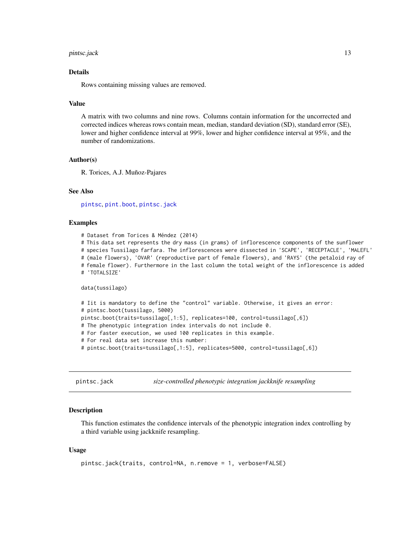#### <span id="page-12-0"></span>pintsc.jack 13

#### Details

Rows containing missing values are removed.

#### Value

A matrix with two columns and nine rows. Columns contain information for the uncorrected and corrected indices whereas rows contain mean, median, standard deviation (SD), standard error (SE), lower and higher confidence interval at 99%, lower and higher confidence interval at 95%, and the number of randomizations.

#### Author(s)

R. Torices, A.J. Muñoz-Pajares

#### See Also

[pintsc](#page-10-1), [pint.boot](#page-5-1), [pintsc.jack](#page-12-1)

#### Examples

```
# Dataset from Torices & Méndez (2014)
# This data set represents the dry mass (in grams) of inflorescence components of the sunflower
# species Tussilago farfara. The inflorescences were dissected in 'SCAPE', 'RECEPTACLE', 'MALEFL'
# (male flowers), 'OVAR' (reproductive part of female flowers), and 'RAYS' (the petaloid ray of
# female flower). Furthermore in the last column the total weight of the inflorescence is added
# 'TOTALSIZE'
data(tussilago)
# Iit is mandatory to define the "control" variable. Otherwise, it gives an error:
# pintsc.boot(tussilago, 5000)
pintsc.boot(traits=tussilago[,1:5], replicates=100, control=tussilago[,6])
# The phenotypic integration index intervals do not include 0.
# For faster execution, we used 100 replicates in this example.
# For real data set increase this number:
# pintsc.boot(traits=tussilago[,1:5], replicates=5000, control=tussilago[,6])
```
<span id="page-12-1"></span>pintsc.jack *size-controlled phenotypic integration jackknife resampling*

#### Description

This function estimates the confidence intervals of the phenotypic integration index controlling by a third variable using jackknife resampling.

#### Usage

```
pintsc.jack(traits, control=NA, n.remove = 1, verbose=FALSE)
```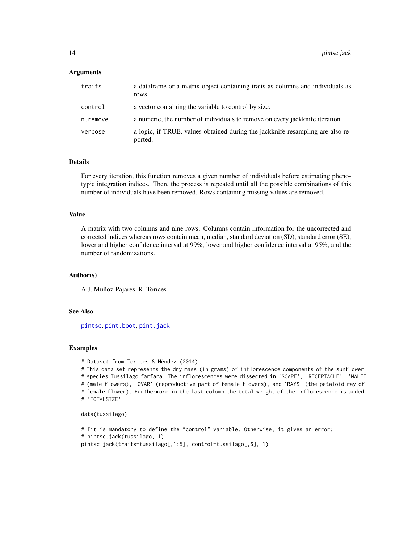#### <span id="page-13-0"></span>Arguments

| traits   | a data frame or a matrix object containing traits as columns and individuals as<br>rows   |
|----------|-------------------------------------------------------------------------------------------|
| control  | a vector containing the variable to control by size.                                      |
| n.remove | a numeric, the number of individuals to remove on every jackknife iteration               |
| verbose  | a logic, if TRUE, values obtained during the jackknife resampling are also re-<br>ported. |

### Details

For every iteration, this function removes a given number of individuals before estimating phenotypic integration indices. Then, the process is repeated until all the possible combinations of this number of individuals have been removed. Rows containing missing values are removed.

#### Value

A matrix with two columns and nine rows. Columns contain information for the uncorrected and corrected indices whereas rows contain mean, median, standard deviation (SD), standard error (SE), lower and higher confidence interval at 99%, lower and higher confidence interval at 95%, and the number of randomizations.

# Author(s)

A.J. Muñoz-Pajares, R. Torices

#### See Also

[pintsc](#page-10-1), [pint.boot](#page-5-1), [pint.jack](#page-6-1)

#### Examples

```
# Dataset from Torices & Méndez (2014)
```
# This data set represents the dry mass (in grams) of inflorescence components of the sunflower # species Tussilago farfara. The inflorescences were dissected in 'SCAPE', 'RECEPTACLE', 'MALEFL' # (male flowers), 'OVAR' (reproductive part of female flowers), and 'RAYS' (the petaloid ray of # female flower). Furthermore in the last column the total weight of the inflorescence is added # 'TOTALSIZE'

```
data(tussilago)
```

```
# Iit is mandatory to define the "control" variable. Otherwise, it gives an error:
# pintsc.jack(tussilago, 1)
pintsc.jack(traits=tussilago[,1:5], control=tussilago[,6], 1)
```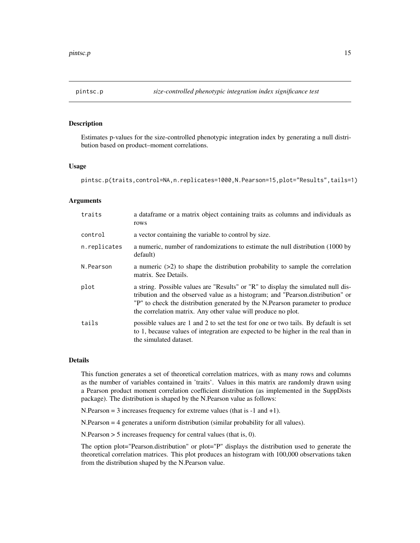<span id="page-14-1"></span><span id="page-14-0"></span>

#### Description

Estimates p-values for the size-controlled phenotypic integration index by generating a null distribution based on product–moment correlations.

#### Usage

pintsc.p(traits,control=NA,n.replicates=1000,N.Pearson=15,plot="Results",tails=1)

#### Arguments

| traits       | a dataframe or a matrix object containing traits as columns and individuals as<br>rows                                                                                                                                                                                                                                |
|--------------|-----------------------------------------------------------------------------------------------------------------------------------------------------------------------------------------------------------------------------------------------------------------------------------------------------------------------|
| control      | a vector containing the variable to control by size.                                                                                                                                                                                                                                                                  |
| n.replicates | a numeric, number of randomizations to estimate the null distribution (1000 by<br>default)                                                                                                                                                                                                                            |
| N.Pearson    | a numeric $(>2)$ to shape the distribution probability to sample the correlation<br>matrix. See Details.                                                                                                                                                                                                              |
| plot         | a string. Possible values are "Results" or "R" to display the simulated null dis-<br>tribution and the observed value as a histogram; and "Pearson.distribution" or<br>"P" to check the distribution generated by the N.Pearson parameter to produce<br>the correlation matrix. Any other value will produce no plot. |
| tails        | possible values are 1 and 2 to set the test for one or two tails. By default is set<br>to 1, because values of integration are expected to be higher in the real than in<br>the simulated dataset.                                                                                                                    |

#### Details

This function generates a set of theoretical correlation matrices, with as many rows and columns as the number of variables contained in 'traits'. Values in this matrix are randomly drawn using a Pearson product moment correlation coefficient distribution (as implemented in the SuppDists package). The distribution is shaped by the N.Pearson value as follows:

N.Pearson  $= 3$  increases frequency for extreme values (that is  $-1$  and  $+1$ ).

N.Pearson = 4 generates a uniform distribution (similar probability for all values).

N.Pearson > 5 increases frequency for central values (that is, 0).

The option plot="Pearson.distribution" or plot="P" displays the distribution used to generate the theoretical correlation matrices. This plot produces an histogram with 100,000 observations taken from the distribution shaped by the N.Pearson value.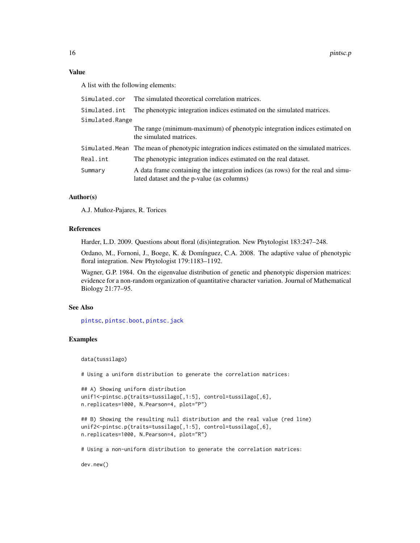# <span id="page-15-0"></span>Value

A list with the following elements:

|                 | Simulated.cor The simulated theoretical correlation matrices.                                                                  |  |
|-----------------|--------------------------------------------------------------------------------------------------------------------------------|--|
| Simulated.int   | The phenotypic integration indices estimated on the simulated matrices.                                                        |  |
| Simulated.Range |                                                                                                                                |  |
|                 | The range (minimum-maximum) of phenotypic integration indices estimated on<br>the simulated matrices.                          |  |
|                 | Simulated. Mean The mean of phenotypic integration indices estimated on the simulated matrices.                                |  |
| Real.int        | The phenotypic integration indices estimated on the real dataset.                                                              |  |
| Summary         | A data frame containing the integration indices (as rows) for the real and simu-<br>lated dataset and the p-value (as columns) |  |

#### Author(s)

A.J. Muñoz-Pajares, R. Torices

#### References

Harder, L.D. 2009. Questions about floral (dis)integration. New Phytologist 183:247–248.

Ordano, M., Fornoni, J., Boege, K. & Domínguez, C.A. 2008. The adaptive value of phenotypic floral integration. New Phytologist 179:1183–1192.

Wagner, G.P. 1984. On the eigenvalue distribution of genetic and phenotypic dispersion matrices: evidence for a non-random organization of quantitative character variation. Journal of Mathematical Biology 21:77–95.

#### See Also

[pintsc](#page-10-1), [pintsc.boot](#page-11-1), [pintsc.jack](#page-12-1)

# Examples

data(tussilago)

# Using a uniform distribution to generate the correlation matrices:

```
## A) Showing uniform distribution
unif1<-pintsc.p(traits=tussilago[,1:5], control=tussilago[,6],
n.replicates=1000, N.Pearson=4, plot="P")
```

```
## B) Showing the resulting null distribution and the real value (red line)
unif2<-pintsc.p(traits=tussilago[,1:5], control=tussilago[,6],
n.replicates=1000, N.Pearson=4, plot="R")
```
# Using a non-uniform distribution to generate the correlation matrices:

dev.new()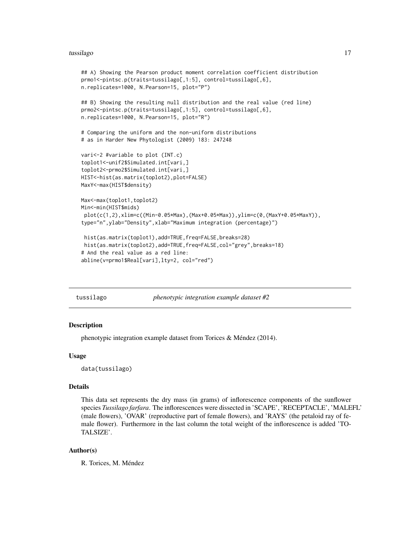#### <span id="page-16-0"></span>tussilago kan kuning kalendar kan kuning kan kuning kan kuning kan kuning kan kuning kan kuning kan kuning kan

```
## A) Showing the Pearson product moment correlation coefficient distribution
prmo1<-pintsc.p(traits=tussilago[,1:5], control=tussilago[,6],
n.replicates=1000, N.Pearson=15, plot="P")
## B) Showing the resulting null distribution and the real value (red line)
prmo2<-pintsc.p(traits=tussilago[,1:5], control=tussilago[,6],
n.replicates=1000, N.Pearson=15, plot="R")
# Comparing the uniform and the non-uniform distributions
# as in Harder New Phytologist (2009) 183: 247248
vari<-2 #variable to plot (INT.c)
toplot1<-unif2$Simulated.int[vari,]
toplot2<-prmo2$Simulated.int[vari,]
HIST<-hist(as.matrix(toplot2),plot=FALSE)
MaxY<-max(HIST$density)
Max<-max(toplot1,toplot2)
Min<-min(HIST$mids)
 plot(c(1,2),xlim=c((Min-0.05*Max),(Max+0.05*Max)),ylim=c(0,(MaxY+0.05*MaxY)),
type="n",ylab="Density",xlab="Maximum integration (percentage)")
 hist(as.matrix(toplot1),add=TRUE,freq=FALSE,breaks=28)
 hist(as.matrix(toplot2),add=TRUE,freq=FALSE,col="grey",breaks=18)
# And the real value as a red line:
abline(v=prmo1$Real[vari],lty=2, col="red")
```
tussilago *phenotypic integration example dataset #2*

#### Description

phenotypic integration example dataset from Torices & Méndez (2014).

#### Usage

data(tussilago)

#### Details

This data set represents the dry mass (in grams) of inflorescence components of the sunflower species *Tussilago farfara*. The inflorescences were dissected in 'SCAPE', 'RECEPTACLE', 'MALEFL' (male flowers), 'OVAR' (reproductive part of female flowers), and 'RAYS' (the petaloid ray of female flower). Furthermore in the last column the total weight of the inflorescence is added 'TO-TALSIZE'.

#### Author(s)

R. Torices, M. Méndez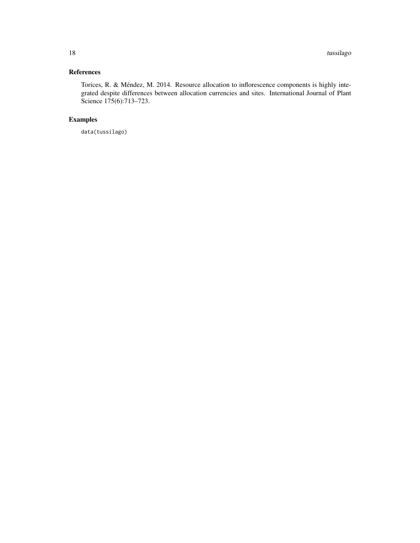# References

Torices, R. & Méndez, M. 2014. Resource allocation to inflorescence components is highly integrated despite differences between allocation currencies and sites. International Journal of Plant Science 175(6):713–723.

# Examples

data(tussilago)